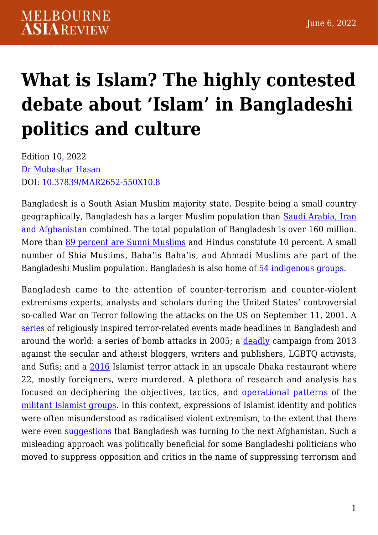# **[What is Islam? The highly contested](https://melbourneasiareview.edu.au/what-is-islam-the-highly-contested-debate-about-islam-in-bangladeshi-politics-and-culture/) [debate about 'Islam' in Bangladeshi](https://melbourneasiareview.edu.au/what-is-islam-the-highly-contested-debate-about-islam-in-bangladeshi-politics-and-culture/) [politics and culture](https://melbourneasiareview.edu.au/what-is-islam-the-highly-contested-debate-about-islam-in-bangladeshi-politics-and-culture/)**

Edition 10, 2022 [Dr Mubashar Hasan](https://mubasharhasan.com/) DOI: 10.37839/MAR2652-550X10.8

Bangladesh is a South Asian Muslim majority state. Despite being a small country geographically, Bangladesh has a larger Muslim population than [Saudi Arabia, Iran](https://www.cambridge.org/core/journals/politics-and-religion/article/abs/who-supports-suicide-terrorism-in-bangladesh-what-the-data-say/F2A83C327946BBA345752E09A7A64DFE) [and Afghanistan](https://www.cambridge.org/core/journals/politics-and-religion/article/abs/who-supports-suicide-terrorism-in-bangladesh-what-the-data-say/F2A83C327946BBA345752E09A7A64DFE) combined. The total population of Bangladesh is over 160 million. More than [89 percent are Sunni Muslims](https://www.state.gov/reports/2019-report-on-international-religious-freedom/bangladesh/) and Hindus constitute 10 percent. A small number of Shia Muslims, Baha'is Baha'is, and Ahmadi Muslims are part of the Bangladeshi Muslim population. Bangladesh is also home of [54 indigenous groups.](https://www.iwgia.org/en/bangladesh.html)

Bangladesh came to the attention of counter-terrorism and counter-violent extremisms experts, analysts and scholars during the United States' controversial so-called War on Terror following the attacks on the US on September 11, 2001. A [series](https://www.crisisgroup.org/asia/south-asia/bangladesh/295-countering-jihadist-militancy-bangladesh) of religiously inspired terror-related events made headlines in Bangladesh and around the world: a series of bomb attacks in 2005; a [deadly](https://theconversation.com/threats-of-violent-extremism-in-bangladesh-are-a-symptom-of-deeper-social-and-political-problems-70420) campaign from 2013 against the secular and atheist bloggers, writers and publishers, LGBTQ activists, and Sufis; and a [2016](https://www.bbc.com/news/world-asia-50570243) Islamist terror attack in an upscale Dhaka restaurant where 22, mostly foreigners, were murdered. A plethora of research and analysis has focused on deciphering the objectives, tactics, and [operational patterns](https://www.jstor.org/stable/26798576?seq=1) of the [militant Islamist groups](https://link.springer.com/book/10.1007/978-3-030-79171-1). In this context, expressions of Islamist identity and politics were often misunderstood as radicalised violent extremism, to the extent that there were even [suggestions](https://www.amazon.com/Bangladesh-Next-Afghanistan-Hiranmay-Karlekar/dp/0761934014) that Bangladesh was turning to the next Afghanistan. Such a misleading approach was politically beneficial for some Bangladeshi politicians who moved to suppress opposition and critics in the name of suppressing terrorism and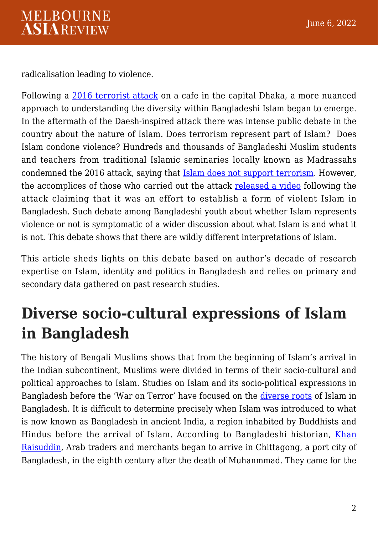radicalisation leading to violence.

Following a [2016 terrorist attack](https://www.theguardian.com/world/2016/jul/01/dhaka-bangladesh-restaurant-attack-hostages) on a cafe in the capital Dhaka, a more nuanced approach to understanding the diversity within Bangladeshi Islam began to emerge. In the aftermath of the Daesh-inspired attack there was intense public debate in the country about the nature of Islam. Does terrorism represent part of Islam? Does Islam condone violence? Hundreds and thousands of Bangladeshi Muslim students and teachers from traditional Islamic seminaries locally known as Madrassahs condemned the 2016 attack, saying that **Islam does not support terrorism**. However, the accomplices of those who carried out the attack [released a video](https://journals.sagepub.com/doi/abs/10.1177/0974928417716208?journalCode=iqqa) following the attack claiming that it was an effort to establish a form of violent Islam in Bangladesh. Such debate among Bangladeshi youth about whether Islam represents violence or not is symptomatic of a wider discussion about what Islam is and what it is not. This debate shows that there are wildly different interpretations of Islam.

This article sheds lights on this debate based on author's decade of research expertise on Islam, identity and politics in Bangladesh and relies on primary and secondary data gathered on past research studies.

## **Diverse socio-cultural expressions of Islam in Bangladesh**

The history of Bengali Muslims shows that from the beginning of Islam's arrival in the Indian subcontinent, Muslims were divided in terms of their socio-cultural and political approaches to Islam. Studies on Islam and its socio-political expressions in Bangladesh before the 'War on Terror' have focused on the [diverse roots](https://www.jstor.org/stable/2644113?casa_token=lDlJmJ9OWmIAAAAA%3AFLb7DLNeOW8dRVxgHnDE0b8ONLXvxG9H92XOI8m9tsuZRaafB1L6XqRp4urUEtFLp1Msz1f46AZl94qvTcluZAeRRdKiAPP1c-cuWbyyrDsHeP4-9kb3Jg&seq=1) of Islam in Bangladesh. It is difficult to determine precisely when Islam was introduced to what is now known as Bangladesh in ancient India, a region inhabited by Buddhists and Hindus before the arrival of Islam. According to Bangladeshi historian, [Khan](https://www.worldcat.org/title/bangladesh-itihas-parikrama/oclc/59068681) [Raisuddin](https://www.worldcat.org/title/bangladesh-itihas-parikrama/oclc/59068681), Arab traders and merchants began to arrive in Chittagong, a port city of Bangladesh, in the eighth century after the death of Muhanmmad. They came for the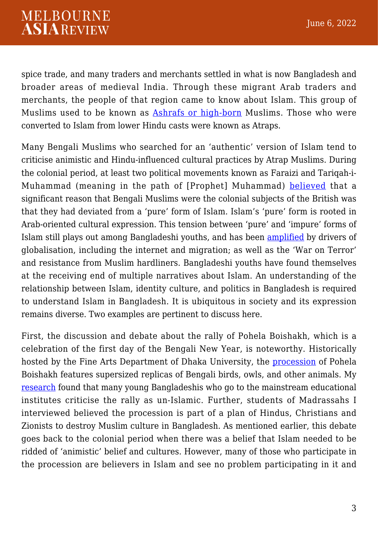spice trade, and many traders and merchants settled in what is now Bangladesh and broader areas of medieval India. Through these migrant Arab traders and merchants, the people of that region came to know about Islam. This group of Muslims used to be known as [Ashrafs or high-born](https://brill.com/view/journals/jaas/28/1-2/article-p88_6.xml) Muslims. Those who were converted to Islam from lower Hindu casts were known as Atraps.

Many Bengali Muslims who searched for an 'authentic' version of Islam tend to criticise animistic and Hindu-influenced cultural practices by Atrap Muslims. During the colonial period, at least two political movements known as Faraizi and Tariqah-i-Muhammad (meaning in the path of [Prophet] Muhammad) [believed](https://journals.sagepub.com/doi/abs/10.1177/0021909611417681?journalCode=jasa) that a significant reason that Bengali Muslims were the colonial subjects of the British was that they had deviated from a 'pure' form of Islam. Islam's 'pure' form is rooted in Arab-oriented cultural expression. This tension between 'pure' and 'impure' forms of Islam still plays out among Bangladeshi youths, and has been [amplified](https://oxford.universitypressscholarship.com/view/10.1093/acprof:oso/9780198092063.001.0001/acprof-9780198092063-chapter-11) by drivers of globalisation, including the internet and migration; as well as the 'War on Terror' and resistance from Muslim hardliners. Bangladeshi youths have found themselves at the receiving end of multiple narratives about Islam. An understanding of the relationship between Islam, identity culture, and politics in Bangladesh is required to understand Islam in Bangladesh. It is ubiquitous in society and its expression remains diverse. Two examples are pertinent to discuss here.

First, the discussion and debate about the rally of Pohela Boishakh, which is a celebration of the first day of the Bengali New Year, is noteworthy. Historically hosted by the Fine Arts Department of Dhaka University, the [procession](https://www.scoopnest.com/user/AFP/852783936853770240-bangladeshis-attend-a-rally-in-celebration-of-the-bengali-new-year-or-pohela-boishakh-in-dhaka) of Pohela Boishakh features supersized replicas of Bengali birds, owls, and other animals. My [research](https://resolvenet.org/research/language-youth-politics-bangladesh-beyond-secular-religious-binary) found that many young Bangladeshis who go to the mainstream educational institutes criticise the rally as un-Islamic. Further, students of Madrassahs I interviewed believed the procession is part of a plan of Hindus, Christians and Zionists to destroy Muslim culture in Bangladesh. As mentioned earlier, this debate goes back to the colonial period when there was a belief that Islam needed to be ridded of 'animistic' belief and cultures. However, many of those who participate in the procession are believers in Islam and see no problem participating in it and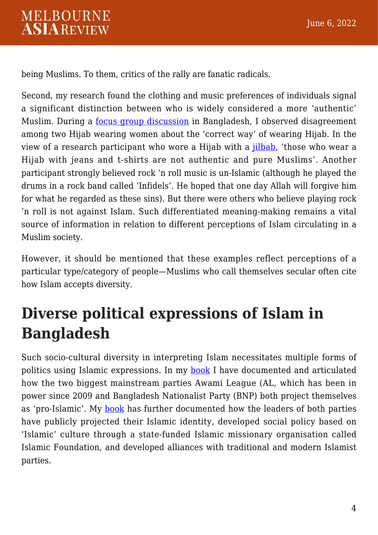being Muslims. To them, critics of the rally are fanatic radicals.

Second, my research found the clothing and music preferences of individuals signal a significant distinction between who is widely considered a more 'authentic' Muslim. During a [focus group discussion](https://resolvenet.org/research/language-youth-politics-bangladesh-beyond-secular-religious-binary) in Bangladesh, I observed disagreement among two Hijab wearing women about the 'correct way' of wearing Hijab. In the view of a research participant who wore a Hijab with a [jilbab](https://www.veiloffaith.com.au/collections/jilbabs), 'those who wear a Hijab with jeans and t-shirts are not authentic and pure Muslims'. Another participant strongly believed rock 'n roll music is un-Islamic (although he played the drums in a rock band called 'Infidels'. He hoped that one day Allah will forgive him for what he regarded as these sins). But there were others who believe playing rock 'n roll is not against Islam. Such differentiated meaning-making remains a vital source of information in relation to different perceptions of Islam circulating in a Muslim society.

However, it should be mentioned that these examples reflect perceptions of a particular type/category of people—Muslims who call themselves secular often cite how Islam accepts diversity.

# **Diverse political expressions of Islam in Bangladesh**

Such socio-cultural diversity in interpreting Islam necessitates multiple forms of politics using Islamic expressions. In my [book](https://link.springer.com/book/10.1007/978-981-15-1116-5) I have documented and articulated how the two biggest mainstream parties Awami League (AL, which has been in power since 2009 and Bangladesh Nationalist Party (BNP) both project themselves as 'pro-Islamic'. My [book](https://link.springer.com/book/10.1007/978-981-15-1116-5) has further documented how the leaders of both parties have publicly projected their Islamic identity, developed social policy based on 'Islamic' culture through a state-funded Islamic missionary organisation called Islamic Foundation, and developed alliances with traditional and modern Islamist parties.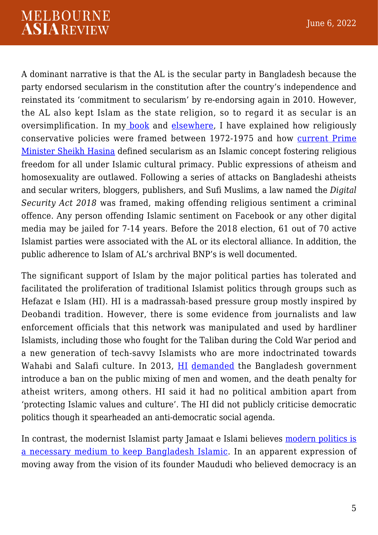#### **MELBOURNE ASIAREVIEW**

A dominant narrative is that the AL is the secular party in Bangladesh because the party endorsed secularism in the constitution after the country's independence and reinstated its 'commitment to secularism' by re-endorsing again in 2010. However, the AL also kept Islam as the state religion, so to regard it as secular is an oversimplification. In my [book](https://link.springer.com/book/10.1007/978-981-15-1116-5) and [elsewhere](https://journals.sagepub.com/doi/10.1177/2230807517703721), I have explained how religiously conservative policies were framed between 1972-1975 and how [current Prime](https://blogs.lse.ac.uk/southasia/2016/06/13/religious-freedom-with-an-islamic-twist-how-the-medina-charter-is-used-to-frame-secularism-in-bangladesh/) [Minister Sheikh Hasina](https://blogs.lse.ac.uk/southasia/2016/06/13/religious-freedom-with-an-islamic-twist-how-the-medina-charter-is-used-to-frame-secularism-in-bangladesh/) defined secularism as an Islamic concept fostering religious freedom for all under Islamic cultural primacy. Public expressions of atheism and homosexuality are outlawed. Following a series of attacks on Bangladeshi atheists and secular writers, bloggers, publishers, and Sufi Muslims, a law named the *Digital Security Act 2018* was framed, making offending religious sentiment a criminal offence. Any person offending Islamic sentiment on Facebook or any other digital media may be jailed for 7-14 years. Before the 2018 election, 61 out of 70 active Islamist parties were associated with the AL or its electoral alliance. In addition, the public adherence to Islam of AL's archrival BNP's is well documented.

The significant support of Islam by the major political parties has tolerated and facilitated the proliferation of traditional Islamist politics through groups such as Hefazat e Islam (HI). HI is a madrassah-based pressure group mostly inspired by Deobandi tradition. However, there is some evidence from journalists and law enforcement officials that this network was manipulated and used by hardliner Islamists, including those who fought for the Taliban during the Cold War period and a new generation of tech-savvy Islamists who are more indoctrinated towards Wahabi and Salafi culture. In 2013, [HI](https://www.lowyinstitute.org/the-interpreter/understanding-bangladesh-s-most-potent-religious-opposition) [demanded](https://www.satp.org/satporgtp/countries/bangladesh/document/papers/13-Point_Demand.htm) the Bangladesh government introduce a ban on the public mixing of men and women, and the death penalty for atheist writers, among others. HI said it had no political ambition apart from 'protecting Islamic values and culture'. The HI did not publicly criticise democratic politics though it spearheaded an anti-democratic social agenda.

In contrast, the modernist Islamist party Jamaat e Islami believes [modern politics is](https://link.springer.com/book/10.1007/978-981-15-1116-5) [a necessary medium to keep Bangladesh Islamic.](https://link.springer.com/book/10.1007/978-981-15-1116-5) In an apparent expression of moving away from the vision of its founder Maududi who believed democracy is an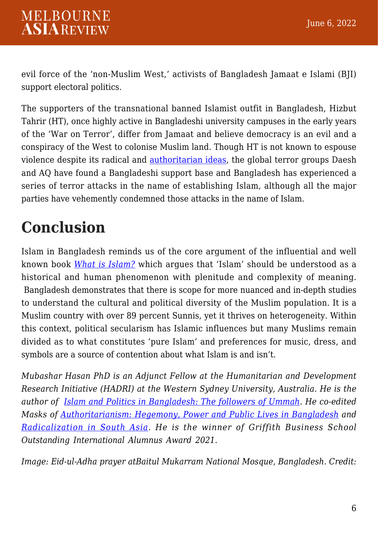evil force of the 'non-Muslim West,' activists of Bangladesh Jamaat e Islami (BJI) support electoral politics.

The supporters of the transnational banned Islamist outfit in Bangladesh, Hizbut Tahrir (HT), once highly active in Bangladeshi university campuses in the early years of the 'War on Terror', differ from Jamaat and believe democracy is an evil and a conspiracy of the West to colonise Muslim land. Though HT is not known to espouse violence despite its radical and [authoritarian ideas,](https://journals.sagepub.com/doi/abs/10.1177/026272801103100201?journalCode=sara) the global terror groups Daesh and AQ have found a Bangladeshi support base and Bangladesh has experienced a series of terror attacks in the name of establishing Islam, although all the major parties have vehemently condemned those attacks in the name of Islam.

## **Conclusion**

Islam in Bangladesh reminds us of the core argument of the influential and well known book *[What is Islam?](https://press.princeton.edu/books/hardcover/9780691164182/what-is-islam)* which argues that 'Islam' should be understood as a historical and human phenomenon with plenitude and complexity of meaning. Bangladesh demonstrates that there is scope for more nuanced and in-depth studies to understand the cultural and political diversity of the Muslim population. It is a Muslim country with over 89 percent Sunnis, yet it thrives on heterogeneity. Within this context, political secularism has Islamic influences but many Muslims remain divided as to what constitutes 'pure Islam' and preferences for music, dress, and symbols are a source of contention about what Islam is and isn't.

*Mubashar Hasan PhD is an Adjunct Fellow at the Humanitarian and Development Research Initiative (HADRI) at the Western Sydney University, Australia. He is the author of [Islam and Politics in Bangladesh: The followers of Ummah](https://link.springer.com/book/10.1007/978-981-15-1116-5). He co-edited Masks of [Authoritarianism: Hegemony, Power and Public Lives in Bangladesh](https://link.springer.com/book/10.1007/978-981-16-4314-9) and [Radicalization in South Asia.](https://us.sagepub.com/en-us/nam/radicalization-in-south-asia/book269936) He is the winner of Griffith Business School Outstanding International Alumnus Award 2021.*

*Image: Eid-ul-Adha prayer atBaitul Mukarram National Mosque, Bangladesh. Credit:*